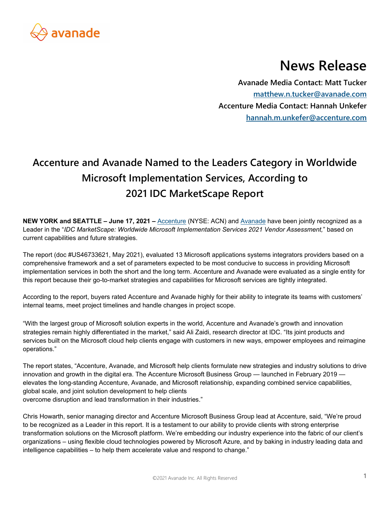

# **News Release**

**Avanade Media Contact: Matt Tucker matthew.n.tucker@avanade.com Accenture Media Contact: Hannah Unkefer hannah.m.unkefer@accenture.com** 

# **Accenture and Avanade Named to the Leaders Category in Worldwide Microsoft Implementation Services, According to 2021 IDC MarketScape Report**

**NEW YORK and SEATTLE – June 17, 2021 –** Accenture (NYSE: ACN) and Avanade have been jointly recognized as a Leader in the "*IDC MarketScape: Worldwide Microsoft Implementation Services 2021 Vendor Assessment,*" based on current capabilities and future strategies.

The report (doc #US46733621, May 2021), evaluated 13 Microsoft applications systems integrators providers based on a comprehensive framework and a set of parameters expected to be most conducive to success in providing Microsoft implementation services in both the short and the long term. Accenture and Avanade were evaluated as a single entity for this report because their go-to-market strategies and capabilities for Microsoft services are tightly integrated.

According to the report, buyers rated Accenture and Avanade highly for their ability to integrate its teams with customers' internal teams, meet project timelines and handle changes in project scope.

"With the largest group of Microsoft solution experts in the world, Accenture and Avanade's growth and innovation strategies remain highly differentiated in the market," said Ali Zaidi, research director at IDC. "Its joint products and services built on the Microsoft cloud help clients engage with customers in new ways, empower employees and reimagine operations."

The report states, "Accenture, Avanade, and Microsoft help clients formulate new strategies and industry solutions to drive innovation and growth in the digital era. The Accenture Microsoft Business Group — launched in February 2019 elevates the long-standing Accenture, Avanade, and Microsoft relationship, expanding combined service capabilities, global scale, and joint solution development to help clients overcome disruption and lead transformation in their industries."

Chris Howarth, senior managing director and Accenture Microsoft Business Group lead at Accenture, said, "We're proud to be recognized as a Leader in this report. It is a testament to our ability to provide clients with strong enterprise transformation solutions on the Microsoft platform. We're embedding our industry experience into the fabric of our client's organizations – using flexible cloud technologies powered by Microsoft Azure, and by baking in industry leading data and intelligence capabilities – to help them accelerate value and respond to change."